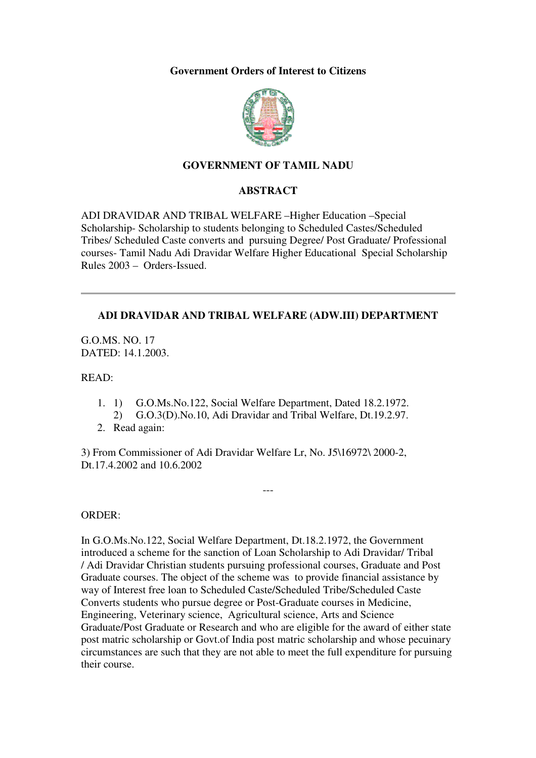## **Government Orders of Interest to Citizens**



# **GOVERNMENT OF TAMIL NADU**

# **ABSTRACT**

ADI DRAVIDAR AND TRIBAL WELFARE –Higher Education –Special Scholarship- Scholarship to students belonging to Scheduled Castes/Scheduled Tribes/ Scheduled Caste converts and pursuing Degree/ Post Graduate/ Professional courses- Tamil Nadu Adi Dravidar Welfare Higher Educational Special Scholarship Rules 2003 – Orders-Issued.

# **ADI DRAVIDAR AND TRIBAL WELFARE (ADW.III) DEPARTMENT**

G.O.MS. NO. 17 DATED: 14.1.2003.

READ:

- 1. 1) G.O.Ms.No.122, Social Welfare Department, Dated 18.2.1972.
	- 2) G.O.3(D).No.10, Adi Dravidar and Tribal Welfare, Dt.19.2.97.

---

2. Read again:

3) From Commissioner of Adi Dravidar Welfare Lr, No. J5\16972\ 2000-2, Dt.17.4.2002 and 10.6.2002

### ORDER:

In G.O.Ms.No.122, Social Welfare Department, Dt.18.2.1972, the Government introduced a scheme for the sanction of Loan Scholarship to Adi Dravidar/ Tribal / Adi Dravidar Christian students pursuing professional courses, Graduate and Post Graduate courses. The object of the scheme was to provide financial assistance by way of Interest free loan to Scheduled Caste/Scheduled Tribe/Scheduled Caste Converts students who pursue degree or Post-Graduate courses in Medicine, Engineering, Veterinary science, Agricultural science, Arts and Science Graduate/Post Graduate or Research and who are eligible for the award of either state post matric scholarship or Govt.of India post matric scholarship and whose pecuinary circumstances are such that they are not able to meet the full expenditure for pursuing their course.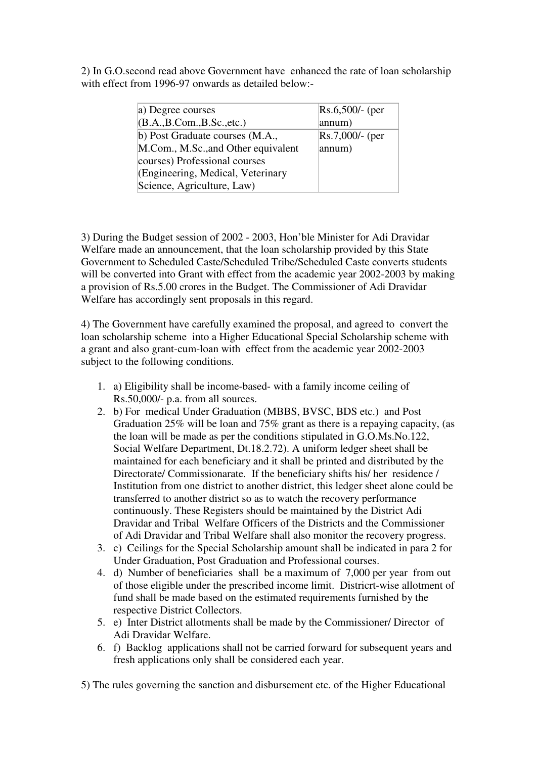2) In G.O.second read above Government have enhanced the rate of loan scholarship with effect from 1996-97 onwards as detailed below:-

| a) Degree courses                   | $Rs.6,500/$ - (per |
|-------------------------------------|--------------------|
| (B.A., B.Com., B.Sc., etc.)         | annum)             |
| b) Post Graduate courses (M.A.,     | $Rs.7,000/$ - (per |
| M.Com., M.Sc., and Other equivalent | annum)             |
| courses) Professional courses       |                    |
| (Engineering, Medical, Veterinary   |                    |
| Science, Agriculture, Law)          |                    |

3) During the Budget session of 2002 - 2003, Hon'ble Minister for Adi Dravidar Welfare made an announcement, that the loan scholarship provided by this State Government to Scheduled Caste/Scheduled Tribe/Scheduled Caste converts students will be converted into Grant with effect from the academic year 2002-2003 by making a provision of Rs.5.00 crores in the Budget. The Commissioner of Adi Dravidar Welfare has accordingly sent proposals in this regard.

4) The Government have carefully examined the proposal, and agreed to convert the loan scholarship scheme into a Higher Educational Special Scholarship scheme with a grant and also grant-cum-loan with effect from the academic year 2002-2003 subject to the following conditions.

- 1. a) Eligibility shall be income-based- with a family income ceiling of Rs.50,000/- p.a. from all sources.
- 2. b) For medical Under Graduation (MBBS, BVSC, BDS etc.) and Post Graduation 25% will be loan and 75% grant as there is a repaying capacity, (as the loan will be made as per the conditions stipulated in G.O.Ms.No.122, Social Welfare Department, Dt.18.2.72). A uniform ledger sheet shall be maintained for each beneficiary and it shall be printed and distributed by the Directorate/ Commissionarate. If the beneficiary shifts his/ her residence / Institution from one district to another district, this ledger sheet alone could be transferred to another district so as to watch the recovery performance continuously. These Registers should be maintained by the District Adi Dravidar and Tribal Welfare Officers of the Districts and the Commissioner of Adi Dravidar and Tribal Welfare shall also monitor the recovery progress.
- 3. c) Ceilings for the Special Scholarship amount shall be indicated in para 2 for Under Graduation, Post Graduation and Professional courses.
- 4. d) Number of beneficiaries shall be a maximum of 7,000 per year from out of those eligible under the prescribed income limit. Districrt-wise allotment of fund shall be made based on the estimated requirements furnished by the respective District Collectors.
- 5. e) Inter District allotments shall be made by the Commissioner/ Director of Adi Dravidar Welfare.
- 6. f) Backlog applications shall not be carried forward for subsequent years and fresh applications only shall be considered each year.

5) The rules governing the sanction and disbursement etc. of the Higher Educational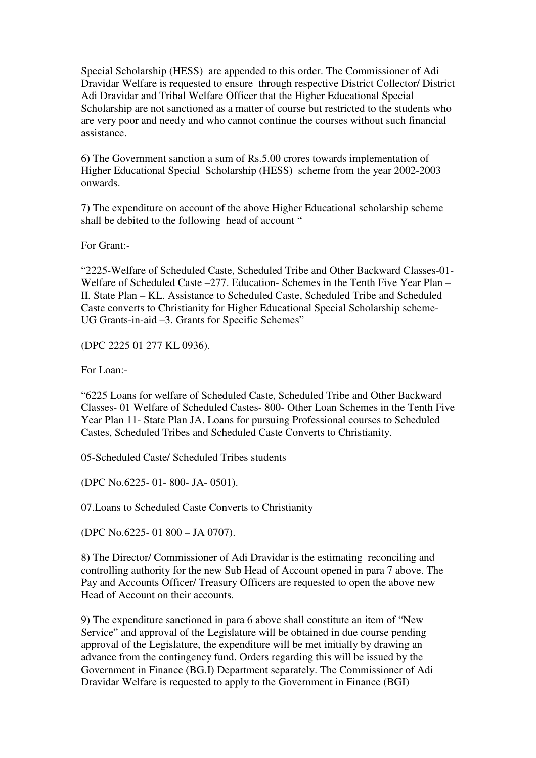Special Scholarship (HESS) are appended to this order. The Commissioner of Adi Dravidar Welfare is requested to ensure through respective District Collector/ District Adi Dravidar and Tribal Welfare Officer that the Higher Educational Special Scholarship are not sanctioned as a matter of course but restricted to the students who are very poor and needy and who cannot continue the courses without such financial assistance.

6) The Government sanction a sum of Rs.5.00 crores towards implementation of Higher Educational Special Scholarship (HESS) scheme from the year 2002-2003 onwards.

7) The expenditure on account of the above Higher Educational scholarship scheme shall be debited to the following head of account "

For Grant:-

"2225-Welfare of Scheduled Caste, Scheduled Tribe and Other Backward Classes-01- Welfare of Scheduled Caste –277. Education- Schemes in the Tenth Five Year Plan – II. State Plan – KL. Assistance to Scheduled Caste, Scheduled Tribe and Scheduled Caste converts to Christianity for Higher Educational Special Scholarship scheme-UG Grants-in-aid  $-3$ . Grants for Specific Schemes"

(DPC 2225 01 277 KL 0936).

For Loan:-

"6225 Loans for welfare of Scheduled Caste, Scheduled Tribe and Other Backward Classes- 01 Welfare of Scheduled Castes- 800- Other Loan Schemes in the Tenth Five Year Plan 11- State Plan JA. Loans for pursuing Professional courses to Scheduled Castes, Scheduled Tribes and Scheduled Caste Converts to Christianity.

05-Scheduled Caste/ Scheduled Tribes students

(DPC No.6225- 01- 800- JA- 0501).

07.Loans to Scheduled Caste Converts to Christianity

(DPC No.6225- 01 800 – JA 0707).

8) The Director/ Commissioner of Adi Dravidar is the estimating reconciling and controlling authority for the new Sub Head of Account opened in para 7 above. The Pay and Accounts Officer/ Treasury Officers are requested to open the above new Head of Account on their accounts.

9) The expenditure sanctioned in para 6 above shall constitute an item of "New Service" and approval of the Legislature will be obtained in due course pending approval of the Legislature, the expenditure will be met initially by drawing an advance from the contingency fund. Orders regarding this will be issued by the Government in Finance (BG.I) Department separately. The Commissioner of Adi Dravidar Welfare is requested to apply to the Government in Finance (BGI)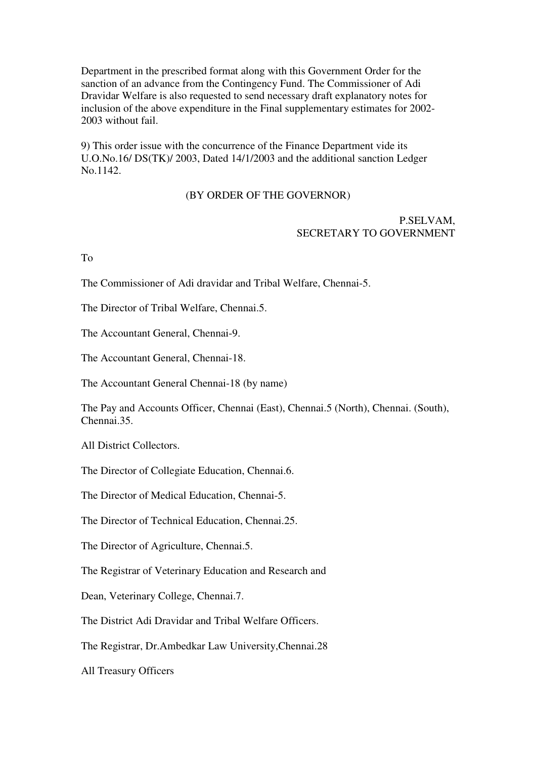Department in the prescribed format along with this Government Order for the sanction of an advance from the Contingency Fund. The Commissioner of Adi Dravidar Welfare is also requested to send necessary draft explanatory notes for inclusion of the above expenditure in the Final supplementary estimates for 2002- 2003 without fail.

9) This order issue with the concurrence of the Finance Department vide its U.O.No.16/ DS(TK)/ 2003, Dated 14/1/2003 and the additional sanction Ledger No.1142.

# (BY ORDER OF THE GOVERNOR)

## P.SELVAM, SECRETARY TO GOVERNMENT

To

The Commissioner of Adi dravidar and Tribal Welfare, Chennai-5.

The Director of Tribal Welfare, Chennai.5.

The Accountant General, Chennai-9.

The Accountant General, Chennai-18.

The Accountant General Chennai-18 (by name)

The Pay and Accounts Officer, Chennai (East), Chennai.5 (North), Chennai. (South), Chennai.35.

All District Collectors.

The Director of Collegiate Education, Chennai.6.

The Director of Medical Education, Chennai-5.

The Director of Technical Education, Chennai.25.

The Director of Agriculture, Chennai.5.

The Registrar of Veterinary Education and Research and

Dean, Veterinary College, Chennai.7.

The District Adi Dravidar and Tribal Welfare Officers.

The Registrar, Dr.Ambedkar Law University,Chennai.28

All Treasury Officers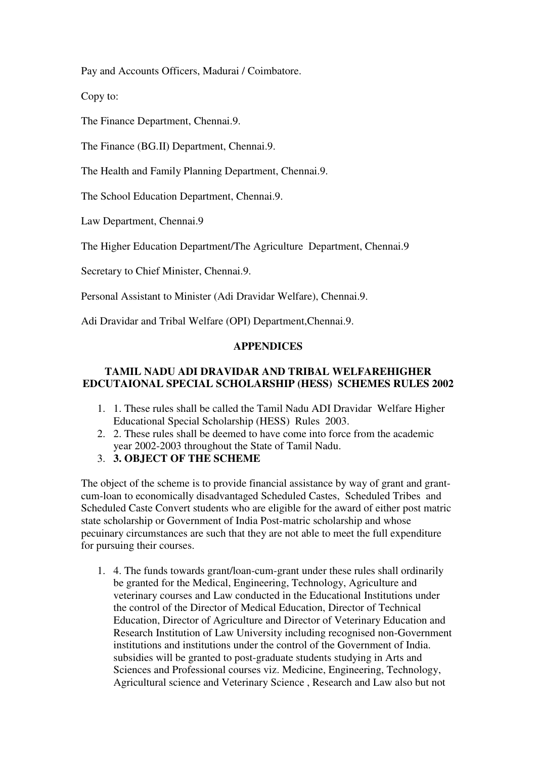Pay and Accounts Officers, Madurai / Coimbatore.

Copy to:

The Finance Department, Chennai.9.

The Finance (BG.II) Department, Chennai.9.

The Health and Family Planning Department, Chennai.9.

The School Education Department, Chennai.9.

Law Department, Chennai.9

The Higher Education Department/The Agriculture Department, Chennai.9

Secretary to Chief Minister, Chennai.9.

Personal Assistant to Minister (Adi Dravidar Welfare), Chennai.9.

Adi Dravidar and Tribal Welfare (OPI) Department,Chennai.9.

# **APPENDICES**

# **TAMIL NADU ADI DRAVIDAR AND TRIBAL WELFAREHIGHER EDCUTAIONAL SPECIAL SCHOLARSHIP (HESS) SCHEMES RULES 2002**

- 1. 1. These rules shall be called the Tamil Nadu ADI Dravidar Welfare Higher Educational Special Scholarship (HESS) Rules 2003.
- 2. 2. These rules shall be deemed to have come into force from the academic year 2002-2003 throughout the State of Tamil Nadu.
- 3. **3. OBJECT OF THE SCHEME**

The object of the scheme is to provide financial assistance by way of grant and grantcum-loan to economically disadvantaged Scheduled Castes, Scheduled Tribes and Scheduled Caste Convert students who are eligible for the award of either post matric state scholarship or Government of India Post-matric scholarship and whose pecuinary circumstances are such that they are not able to meet the full expenditure for pursuing their courses.

1. 4. The funds towards grant/loan-cum-grant under these rules shall ordinarily be granted for the Medical, Engineering, Technology, Agriculture and veterinary courses and Law conducted in the Educational Institutions under the control of the Director of Medical Education, Director of Technical Education, Director of Agriculture and Director of Veterinary Education and Research Institution of Law University including recognised non-Government institutions and institutions under the control of the Government of India. subsidies will be granted to post-graduate students studying in Arts and Sciences and Professional courses viz. Medicine, Engineering, Technology, Agricultural science and Veterinary Science , Research and Law also but not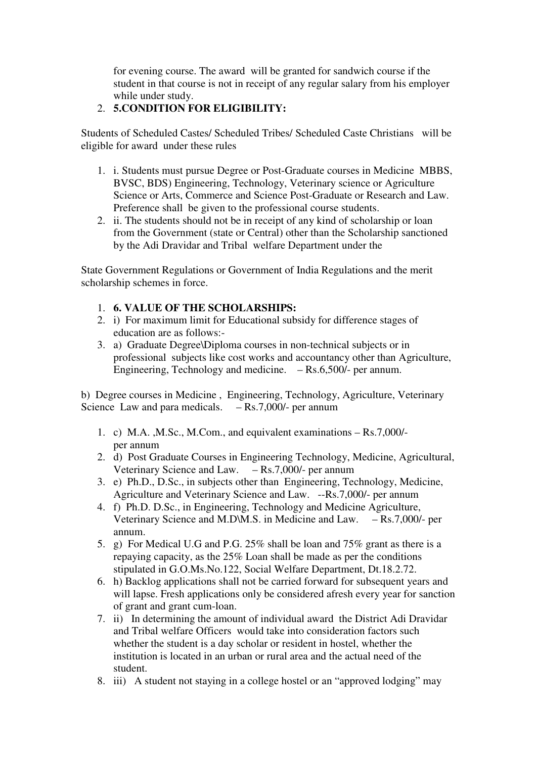for evening course. The award will be granted for sandwich course if the student in that course is not in receipt of any regular salary from his employer while under study.

# 2. **5.CONDITION FOR ELIGIBILITY:**

Students of Scheduled Castes/ Scheduled Tribes/ Scheduled Caste Christians will be eligible for award under these rules

- 1. i. Students must pursue Degree or Post-Graduate courses in Medicine MBBS, BVSC, BDS) Engineering, Technology, Veterinary science or Agriculture Science or Arts, Commerce and Science Post-Graduate or Research and Law. Preference shall be given to the professional course students.
- 2. ii. The students should not be in receipt of any kind of scholarship or loan from the Government (state or Central) other than the Scholarship sanctioned by the Adi Dravidar and Tribal welfare Department under the

State Government Regulations or Government of India Regulations and the merit scholarship schemes in force.

- 1. **6. VALUE OF THE SCHOLARSHIPS:**
- 2. i) For maximum limit for Educational subsidy for difference stages of education are as follows:-
- 3. a) Graduate Degree\Diploma courses in non-technical subjects or in professional subjects like cost works and accountancy other than Agriculture, Engineering, Technology and medicine. – Rs.6,500/- per annum.

b) Degree courses in Medicine , Engineering, Technology, Agriculture, Veterinary Science Law and para medicals.  $-$  Rs.7,000/- per annum

- 1. c) M.A. ,M.Sc., M.Com., and equivalent examinations Rs.7,000/ per annum
- 2. d) Post Graduate Courses in Engineering Technology, Medicine, Agricultural, Veterinary Science and Law. – Rs.7,000/- per annum
- 3. e) Ph.D., D.Sc., in subjects other than Engineering, Technology, Medicine, Agriculture and Veterinary Science and Law. --Rs.7,000/- per annum
- 4. f) Ph.D. D.Sc., in Engineering, Technology and Medicine Agriculture, Veterinary Science and M.D\M.S. in Medicine and Law. – Rs.7,000/- per annum.
- 5. g) For Medical U.G and P.G. 25% shall be loan and 75% grant as there is a repaying capacity, as the 25% Loan shall be made as per the conditions stipulated in G.O.Ms.No.122, Social Welfare Department, Dt.18.2.72.
- 6. h) Backlog applications shall not be carried forward for subsequent years and will lapse. Fresh applications only be considered afresh every year for sanction of grant and grant cum-loan.
- 7. ii) In determining the amount of individual award the District Adi Dravidar and Tribal welfare Officers would take into consideration factors such whether the student is a day scholar or resident in hostel, whether the institution is located in an urban or rural area and the actual need of the student.
- 8. iii) A student not staying in a college hostel or an "approved lodging" may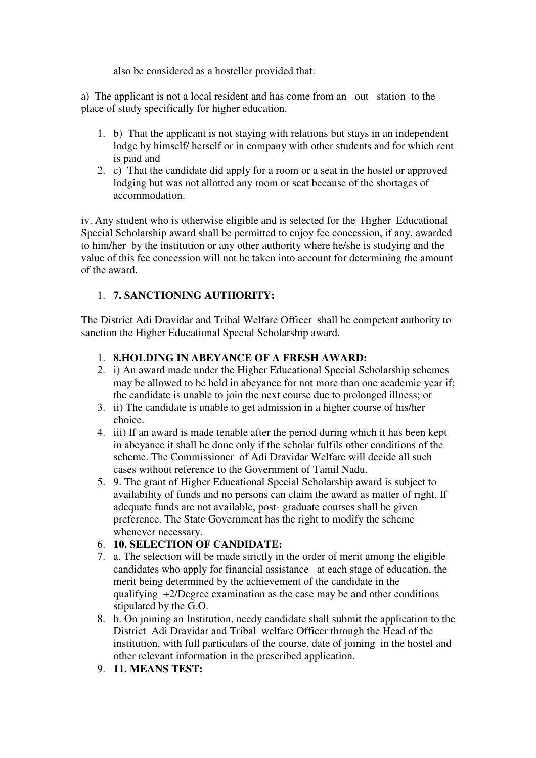also be considered as a hosteller provided that:

a) The applicant is not a local resident and has come from an out station to the place of study specifically for higher education.

- 1. b) That the applicant is not staying with relations but stays in an independent lodge by himself/ herself or in company with other students and for which rent is paid and
- 2. c) That the candidate did apply for a room or a seat in the hostel or approved lodging but was not allotted any room or seat because of the shortages of accommodation.

iv. Any student who is otherwise eligible and is selected for the Higher Educational Special Scholarship award shall be permitted to enjoy fee concession, if any, awarded to him/her by the institution or any other authority where he/she is studying and the value of this fee concession will not be taken into account for determining the amount of the award.

# 1. **7. SANCTIONING AUTHORITY:**

The District Adi Dravidar and Tribal Welfare Officer shall be competent authority to sanction the Higher Educational Special Scholarship award.

# 1. **8.HOLDING IN ABEYANCE OF A FRESH AWARD:**

- 2. i) An award made under the Higher Educational Special Scholarship schemes may be allowed to be held in abeyance for not more than one academic year if; the candidate is unable to join the next course due to prolonged illness; or
- 3. ii) The candidate is unable to get admission in a higher course of his/her choice.
- 4. iii) If an award is made tenable after the period during which it has been kept in abeyance it shall be done only if the scholar fulfils other conditions of the scheme. The Commissioner of Adi Dravidar Welfare will decide all such cases without reference to the Government of Tamil Nadu.
- 5. 9. The grant of Higher Educational Special Scholarship award is subject to availability of funds and no persons can claim the award as matter of right. If adequate funds are not available, post- graduate courses shall be given preference. The State Government has the right to modify the scheme whenever necessary.

# 6. **10. SELECTION OF CANDIDATE:**

- 7. a. The selection will be made strictly in the order of merit among the eligible candidates who apply for financial assistance at each stage of education, the merit being determined by the achievement of the candidate in the qualifying +2/Degree examination as the case may be and other conditions stipulated by the G.O.
- 8. b. On joining an Institution, needy candidate shall submit the application to the District Adi Dravidar and Tribal welfare Officer through the Head of the institution, with full particulars of the course, date of joining in the hostel and other relevant information in the prescribed application.
- 9. **11. MEANS TEST:**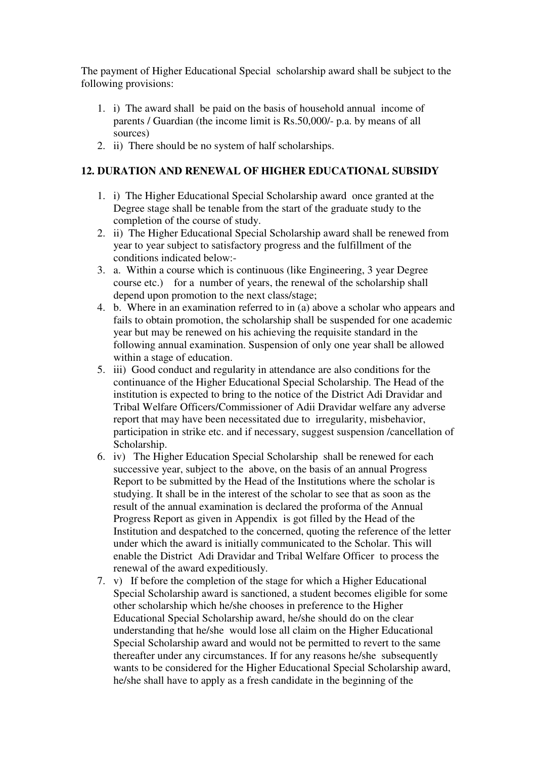The payment of Higher Educational Special scholarship award shall be subject to the following provisions:

- 1. i) The award shall be paid on the basis of household annual income of parents / Guardian (the income limit is Rs.50,000/- p.a. by means of all sources)
- 2. ii) There should be no system of half scholarships.

# **12. DURATION AND RENEWAL OF HIGHER EDUCATIONAL SUBSIDY**

- 1. i) The Higher Educational Special Scholarship award once granted at the Degree stage shall be tenable from the start of the graduate study to the completion of the course of study.
- 2. ii) The Higher Educational Special Scholarship award shall be renewed from year to year subject to satisfactory progress and the fulfillment of the conditions indicated below:-
- 3. a. Within a course which is continuous (like Engineering, 3 year Degree course etc.) for a number of years, the renewal of the scholarship shall depend upon promotion to the next class/stage;
- 4. b. Where in an examination referred to in (a) above a scholar who appears and fails to obtain promotion, the scholarship shall be suspended for one academic year but may be renewed on his achieving the requisite standard in the following annual examination. Suspension of only one year shall be allowed within a stage of education.
- 5. iii) Good conduct and regularity in attendance are also conditions for the continuance of the Higher Educational Special Scholarship. The Head of the institution is expected to bring to the notice of the District Adi Dravidar and Tribal Welfare Officers/Commissioner of Adii Dravidar welfare any adverse report that may have been necessitated due to irregularity, misbehavior, participation in strike etc. and if necessary, suggest suspension /cancellation of Scholarship.
- 6. iv) The Higher Education Special Scholarship shall be renewed for each successive year, subject to the above, on the basis of an annual Progress Report to be submitted by the Head of the Institutions where the scholar is studying. It shall be in the interest of the scholar to see that as soon as the result of the annual examination is declared the proforma of the Annual Progress Report as given in Appendix is got filled by the Head of the Institution and despatched to the concerned, quoting the reference of the letter under which the award is initially communicated to the Scholar. This will enable the District Adi Dravidar and Tribal Welfare Officer to process the renewal of the award expeditiously.
- 7. v) If before the completion of the stage for which a Higher Educational Special Scholarship award is sanctioned, a student becomes eligible for some other scholarship which he/she chooses in preference to the Higher Educational Special Scholarship award, he/she should do on the clear understanding that he/she would lose all claim on the Higher Educational Special Scholarship award and would not be permitted to revert to the same thereafter under any circumstances. If for any reasons he/she subsequently wants to be considered for the Higher Educational Special Scholarship award, he/she shall have to apply as a fresh candidate in the beginning of the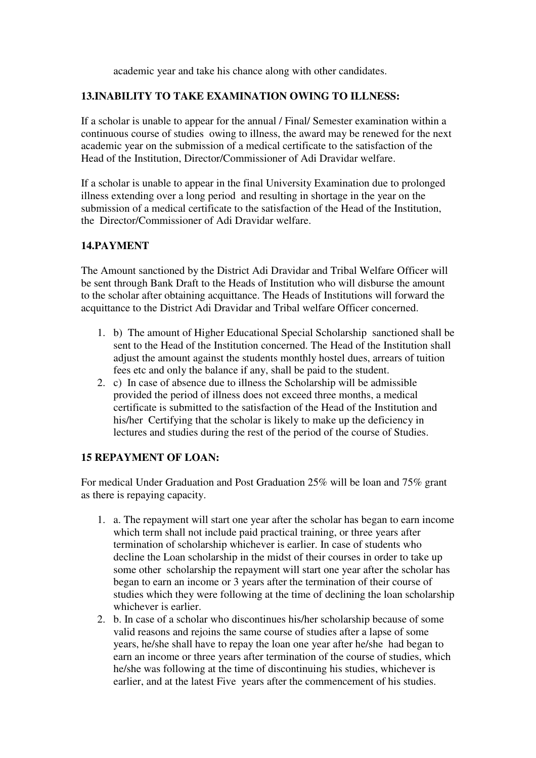academic year and take his chance along with other candidates.

# **13.INABILITY TO TAKE EXAMINATION OWING TO ILLNESS:**

If a scholar is unable to appear for the annual / Final/ Semester examination within a continuous course of studies owing to illness, the award may be renewed for the next academic year on the submission of a medical certificate to the satisfaction of the Head of the Institution, Director/Commissioner of Adi Dravidar welfare.

If a scholar is unable to appear in the final University Examination due to prolonged illness extending over a long period and resulting in shortage in the year on the submission of a medical certificate to the satisfaction of the Head of the Institution, the Director/Commissioner of Adi Dravidar welfare.

# **14.PAYMENT**

The Amount sanctioned by the District Adi Dravidar and Tribal Welfare Officer will be sent through Bank Draft to the Heads of Institution who will disburse the amount to the scholar after obtaining acquittance. The Heads of Institutions will forward the acquittance to the District Adi Dravidar and Tribal welfare Officer concerned.

- 1. b) The amount of Higher Educational Special Scholarship sanctioned shall be sent to the Head of the Institution concerned. The Head of the Institution shall adjust the amount against the students monthly hostel dues, arrears of tuition fees etc and only the balance if any, shall be paid to the student.
- 2. c) In case of absence due to illness the Scholarship will be admissible provided the period of illness does not exceed three months, a medical certificate is submitted to the satisfaction of the Head of the Institution and his/her Certifying that the scholar is likely to make up the deficiency in lectures and studies during the rest of the period of the course of Studies.

### **15 REPAYMENT OF LOAN:**

For medical Under Graduation and Post Graduation 25% will be loan and 75% grant as there is repaying capacity.

- 1. a. The repayment will start one year after the scholar has began to earn income which term shall not include paid practical training, or three years after termination of scholarship whichever is earlier. In case of students who decline the Loan scholarship in the midst of their courses in order to take up some other scholarship the repayment will start one year after the scholar has began to earn an income or 3 years after the termination of their course of studies which they were following at the time of declining the loan scholarship whichever is earlier.
- 2. b. In case of a scholar who discontinues his/her scholarship because of some valid reasons and rejoins the same course of studies after a lapse of some years, he/she shall have to repay the loan one year after he/she had began to earn an income or three years after termination of the course of studies, which he/she was following at the time of discontinuing his studies, whichever is earlier, and at the latest Five years after the commencement of his studies.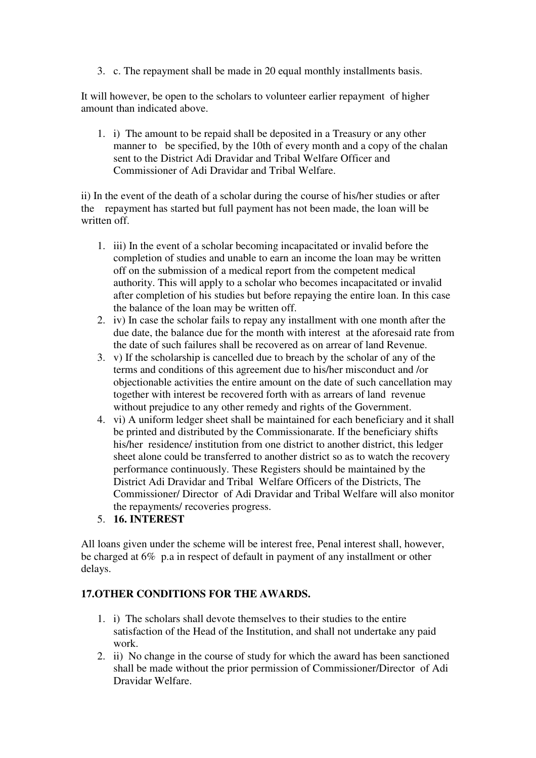3. c. The repayment shall be made in 20 equal monthly installments basis.

It will however, be open to the scholars to volunteer earlier repayment of higher amount than indicated above.

1. i) The amount to be repaid shall be deposited in a Treasury or any other manner to be specified, by the 10th of every month and a copy of the chalan sent to the District Adi Dravidar and Tribal Welfare Officer and Commissioner of Adi Dravidar and Tribal Welfare.

ii) In the event of the death of a scholar during the course of his/her studies or after the repayment has started but full payment has not been made, the loan will be written off.

- 1. iii) In the event of a scholar becoming incapacitated or invalid before the completion of studies and unable to earn an income the loan may be written off on the submission of a medical report from the competent medical authority. This will apply to a scholar who becomes incapacitated or invalid after completion of his studies but before repaying the entire loan. In this case the balance of the loan may be written off.
- 2. iv) In case the scholar fails to repay any installment with one month after the due date, the balance due for the month with interest at the aforesaid rate from the date of such failures shall be recovered as on arrear of land Revenue.
- 3. v) If the scholarship is cancelled due to breach by the scholar of any of the terms and conditions of this agreement due to his/her misconduct and /or objectionable activities the entire amount on the date of such cancellation may together with interest be recovered forth with as arrears of land revenue without prejudice to any other remedy and rights of the Government.
- 4. vi) A uniform ledger sheet shall be maintained for each beneficiary and it shall be printed and distributed by the Commissionarate. If the beneficiary shifts his/her residence/ institution from one district to another district, this ledger sheet alone could be transferred to another district so as to watch the recovery performance continuously. These Registers should be maintained by the District Adi Dravidar and Tribal Welfare Officers of the Districts, The Commissioner/ Director of Adi Dravidar and Tribal Welfare will also monitor the repayments/ recoveries progress.
- 5. **16. INTEREST**

All loans given under the scheme will be interest free, Penal interest shall, however, be charged at 6% p.a in respect of default in payment of any installment or other delays.

# **17.OTHER CONDITIONS FOR THE AWARDS.**

- 1. i) The scholars shall devote themselves to their studies to the entire satisfaction of the Head of the Institution, and shall not undertake any paid work.
- 2. ii) No change in the course of study for which the award has been sanctioned shall be made without the prior permission of Commissioner/Director of Adi Dravidar Welfare.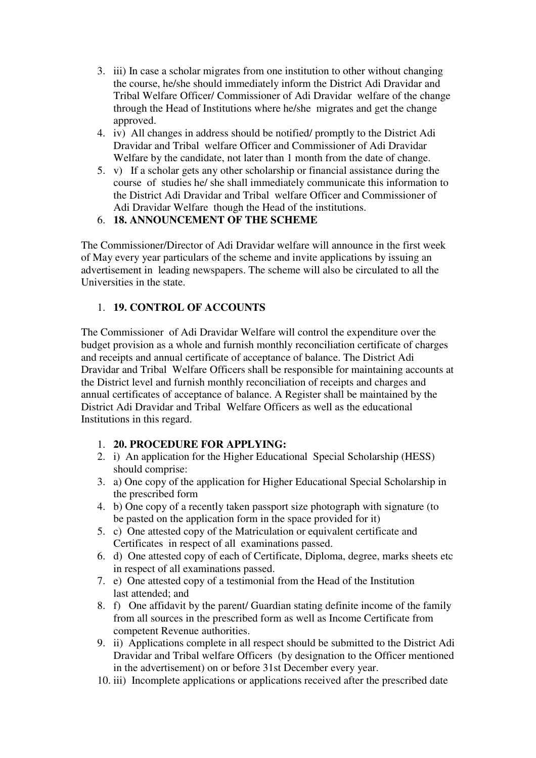- 3. iii) In case a scholar migrates from one institution to other without changing the course, he/she should immediately inform the District Adi Dravidar and Tribal Welfare Officer/ Commissioner of Adi Dravidar welfare of the change through the Head of Institutions where he/she migrates and get the change approved.
- 4. iv) All changes in address should be notified/ promptly to the District Adi Dravidar and Tribal welfare Officer and Commissioner of Adi Dravidar Welfare by the candidate, not later than 1 month from the date of change.
- 5. v) If a scholar gets any other scholarship or financial assistance during the course of studies he/ she shall immediately communicate this information to the District Adi Dravidar and Tribal welfare Officer and Commissioner of Adi Dravidar Welfare though the Head of the institutions.

# 6. **18. ANNOUNCEMENT OF THE SCHEME**

The Commissioner/Director of Adi Dravidar welfare will announce in the first week of May every year particulars of the scheme and invite applications by issuing an advertisement in leading newspapers. The scheme will also be circulated to all the Universities in the state.

# 1. **19. CONTROL OF ACCOUNTS**

The Commissioner of Adi Dravidar Welfare will control the expenditure over the budget provision as a whole and furnish monthly reconciliation certificate of charges and receipts and annual certificate of acceptance of balance. The District Adi Dravidar and Tribal Welfare Officers shall be responsible for maintaining accounts at the District level and furnish monthly reconciliation of receipts and charges and annual certificates of acceptance of balance. A Register shall be maintained by the District Adi Dravidar and Tribal Welfare Officers as well as the educational Institutions in this regard.

# 1. **20. PROCEDURE FOR APPLYING:**

- 2. i) An application for the Higher Educational Special Scholarship (HESS) should comprise:
- 3. a) One copy of the application for Higher Educational Special Scholarship in the prescribed form
- 4. b) One copy of a recently taken passport size photograph with signature (to be pasted on the application form in the space provided for it)
- 5. c) One attested copy of the Matriculation or equivalent certificate and Certificates in respect of all examinations passed.
- 6. d) One attested copy of each of Certificate, Diploma, degree, marks sheets etc in respect of all examinations passed.
- 7. e) One attested copy of a testimonial from the Head of the Institution last attended; and
- 8. f) One affidavit by the parent/ Guardian stating definite income of the family from all sources in the prescribed form as well as Income Certificate from competent Revenue authorities.
- 9. ii) Applications complete in all respect should be submitted to the District Adi Dravidar and Tribal welfare Officers (by designation to the Officer mentioned in the advertisement) on or before 31st December every year.
- 10. iii) Incomplete applications or applications received after the prescribed date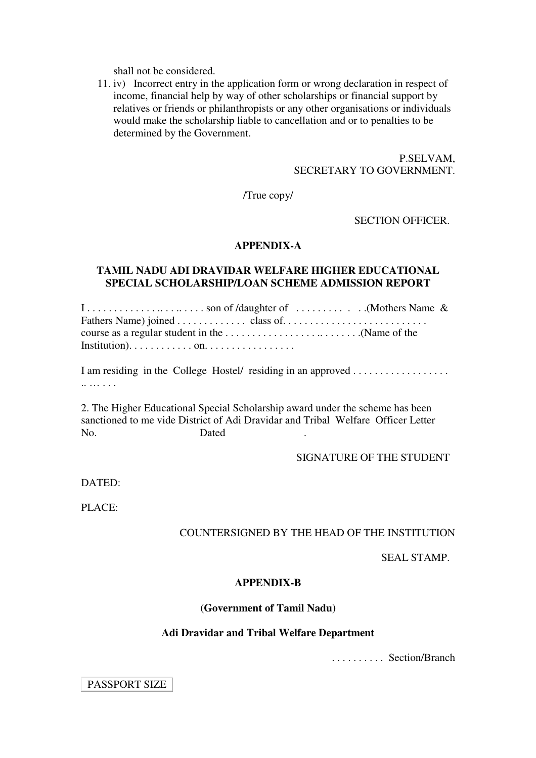shall not be considered.

11. iv) Incorrect entry in the application form or wrong declaration in respect of income, financial help by way of other scholarships or financial support by relatives or friends or philanthropists or any other organisations or individuals would make the scholarship liable to cancellation and or to penalties to be determined by the Government.

### P.SELVAM, SECRETARY TO GOVERNMENT.

/True copy/

SECTION OFFICER.

#### **APPENDIX-A**

### **TAMIL NADU ADI DRAVIDAR WELFARE HIGHER EDUCATIONAL SPECIAL SCHOLARSHIP/LOAN SCHEME ADMISSION REPORT**

| Institution). $\dots \dots \dots \dots$ on $\dots \dots \dots \dots \dots$ |  |  |
|----------------------------------------------------------------------------|--|--|

I am residing in the College Hostel/ residing in an approved . . . . . . . . . . . . . . . . . . .. … . . .

2. The Higher Educational Special Scholarship award under the scheme has been sanctioned to me vide District of Adi Dravidar and Tribal Welfare Officer Letter No. Dated .

#### SIGNATURE OF THE STUDENT

DATED:

PLACE:

### COUNTERSIGNED BY THE HEAD OF THE INSTITUTION

#### SEAL STAMP.

#### **APPENDIX-B**

#### **(Government of Tamil Nadu)**

#### **Adi Dravidar and Tribal Welfare Department**

. . . . . . . . . . Section/Branch

PASSPORT SIZE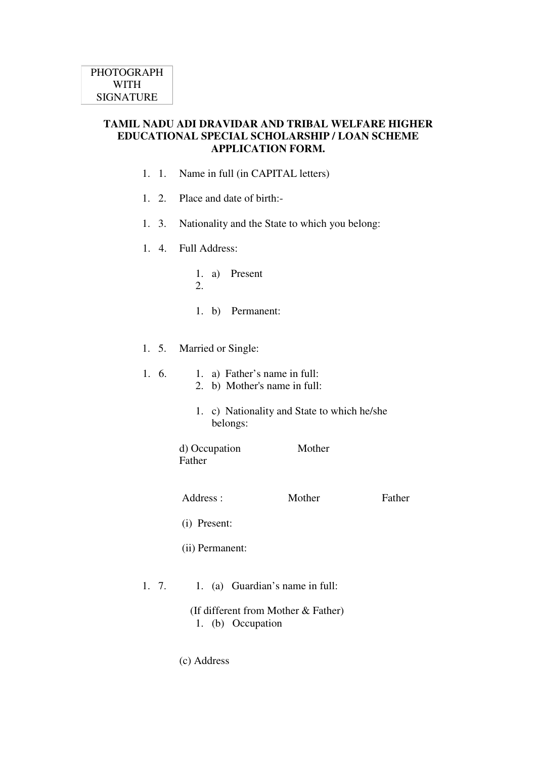# **TAMIL NADU ADI DRAVIDAR AND TRIBAL WELFARE HIGHER EDUCATIONAL SPECIAL SCHOLARSHIP / LOAN SCHEME APPLICATION FORM.**

- 1. 1. Name in full (in CAPITAL letters)
- 1. 2. Place and date of birth:-
- 1. 3. Nationality and the State to which you belong:
- Full Address: 1. 4.
	- 1. a) Present
	- 2.
	- 1. b) Permanent:
- 1. 5. Married or Single:
- 1. a) Father's name in full: 2. b) Mother's name in full: 1. 6. 1. c) Nationality and State to which he/she belongs: d) Occupation Mother Father Address : Mother Father (i) Present: (ii) Permanent: 1. 7. 1. (a) Guardian's name in full:

 (If different from Mother & Father) 1. (b) Occupation

(c) Address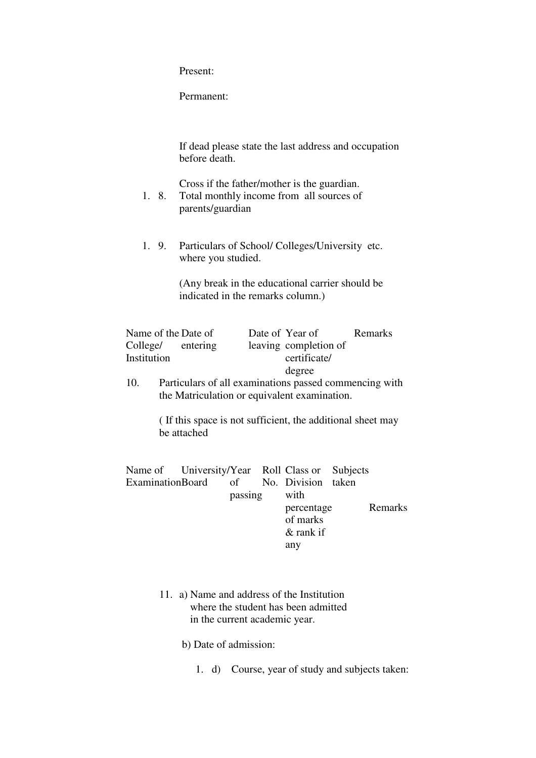Present:

Permanent:

If dead please state the last address and occupation before death.

Cross if the father/mother is the guardian.

- 1. 8. Total monthly income from all sources of parents/guardian
- 1. 9. Particulars of School/ Colleges/University etc. where you studied.

(Any break in the educational carrier should be indicated in the remarks column.)

| Name of the Date of |       |               | Date of Year of       | Remarks |
|---------------------|-------|---------------|-----------------------|---------|
| College/ entering   |       |               | leaving completion of |         |
| Institution         |       |               | certificate/          |         |
|                     |       |               | degree                |         |
| $\sim$              | - - - | $\sim$ $\sim$ |                       |         |

10. Particulars of all examinations passed commencing with the Matriculation or equivalent examination.

> ( If this space is not sufficient, the additional sheet may be attached

|  | with                           |                                                                                    |
|--|--------------------------------|------------------------------------------------------------------------------------|
|  |                                | Remarks                                                                            |
|  | of marks                       |                                                                                    |
|  | & rank if                      |                                                                                    |
|  | any                            |                                                                                    |
|  | ExaminationBoard of<br>passing | Name of University/Year Roll Class or Subjects<br>No. Division taken<br>percentage |

11. a) Name and address of the Institution where the student has been admitted in the current academic year.

b) Date of admission:

1. d) Course, year of study and subjects taken: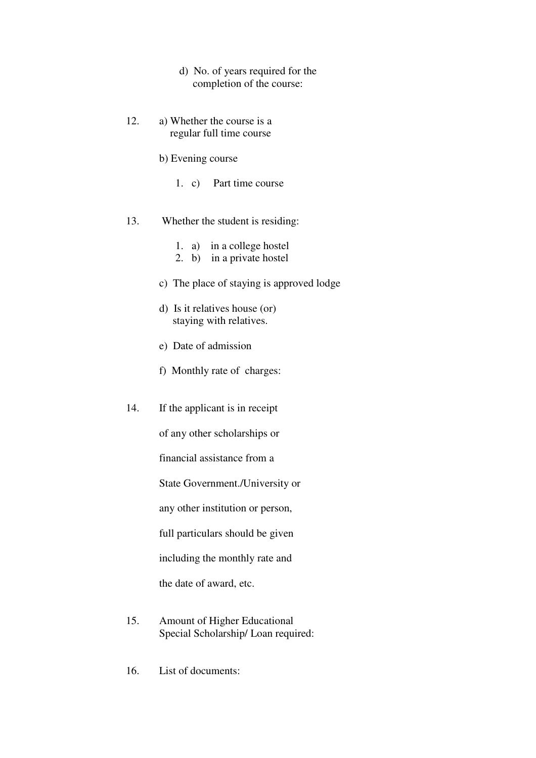- d) No. of years required for the completion of the course:
- 12. a) Whether the course is a regular full time course
	- b) Evening course
		- 1. c) Part time course
- 13. Whether the student is residing:
	- 1. a) in a college hostel
	- 2. b) in a private hostel
	- c) The place of staying is approved lodge
	- d) Is it relatives house (or) staying with relatives.
	- e) Date of admission
	- f) Monthly rate of charges:
- 14. If the applicant is in receipt

of any other scholarships or

financial assistance from a

State Government./University or

any other institution or person,

full particulars should be given

including the monthly rate and

the date of award, etc.

- 15. Amount of Higher Educational Special Scholarship/ Loan required:
- 16. List of documents: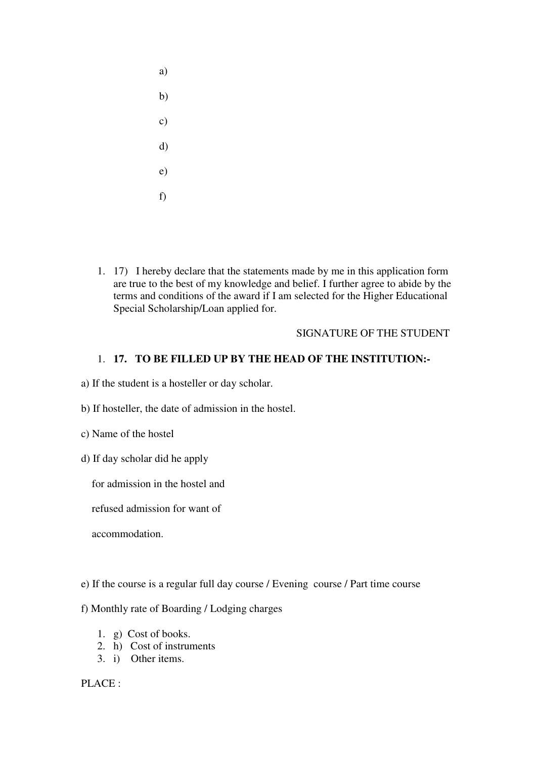- a) b) c) d) e)
- f)
- 1. 17) I hereby declare that the statements made by me in this application form are true to the best of my knowledge and belief. I further agree to abide by the terms and conditions of the award if I am selected for the Higher Educational Special Scholarship/Loan applied for.

# SIGNATURE OF THE STUDENT

# 1. **17. TO BE FILLED UP BY THE HEAD OF THE INSTITUTION:-**

a) If the student is a hosteller or day scholar.

b) If hosteller, the date of admission in the hostel.

c) Name of the hostel

d) If day scholar did he apply

for admission in the hostel and

refused admission for want of

accommodation.

- e) If the course is a regular full day course / Evening course / Part time course
- f) Monthly rate of Boarding / Lodging charges
	- 1. g) Cost of books.
	- 2. h) Cost of instruments
	- 3. i) Other items.

PLACE :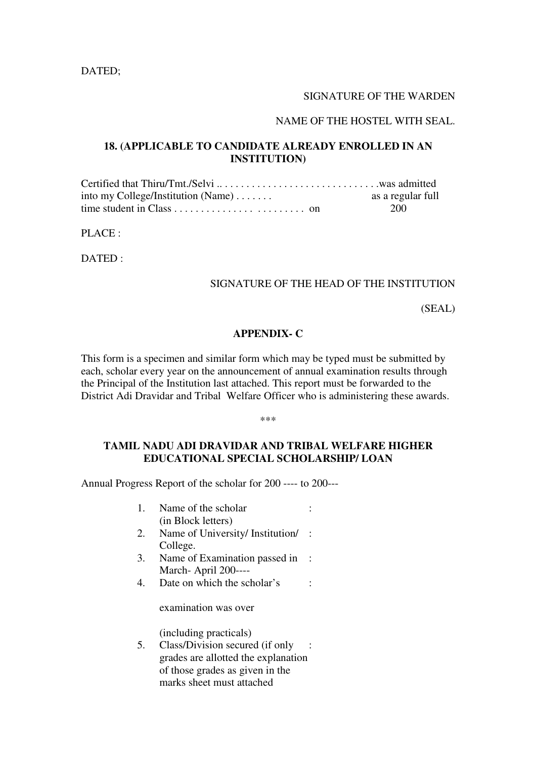DATED;

#### SIGNATURE OF THE WARDEN

#### NAME OF THE HOSTEL WITH SEAL.

# **18. (APPLICABLE TO CANDIDATE ALREADY ENROLLED IN AN INSTITUTION)**

Certified that Thiru/Tmt./Selvi .. . . . . . . . . . . . . . . . . . . . . . . . . . . . . .was admitted into my College/Institution (Name) . . . . . . . as a regular full time student in Class . . . . . . . . . . . . . . . . . . . . . . . . on 200

PLACE :

DATED :

# SIGNATURE OF THE HEAD OF THE INSTITUTION

(SEAL)

#### **APPENDIX- C**

This form is a specimen and similar form which may be typed must be submitted by each, scholar every year on the announcement of annual examination results through the Principal of the Institution last attached. This report must be forwarded to the District Adi Dravidar and Tribal Welfare Officer who is administering these awards.

\*\*\*

### **TAMIL NADU ADI DRAVIDAR AND TRIBAL WELFARE HIGHER EDUCATIONAL SPECIAL SCHOLARSHIP/ LOAN**

Annual Progress Report of the scholar for 200 ---- to 200---

- 1. Name of the scholar (in Block letters) :
- 2. Name of University/ Institution/ : College.
- 3. Name of Examination passed in : March- April 200----
- 4. Date on which the scholar's :

examination was over

(including practicals)

5. Class/Division secured (if only : grades are allotted the explanation of those grades as given in the marks sheet must attached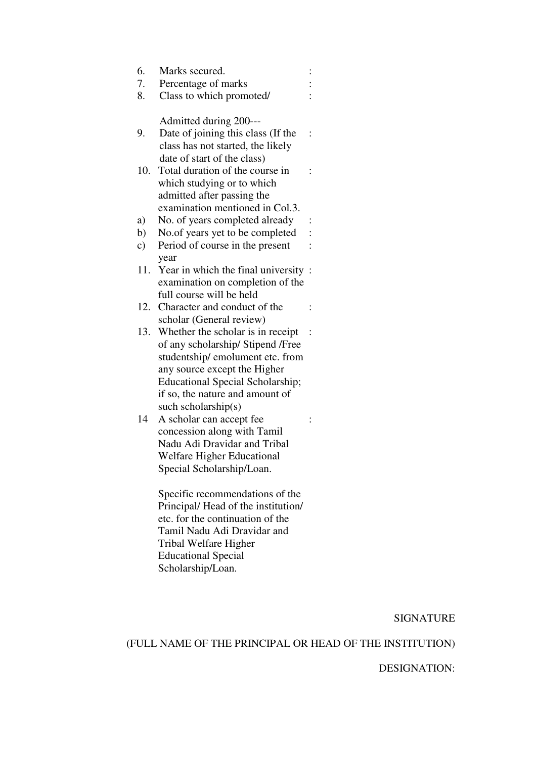| 6.        | Marks secured.                          |                |
|-----------|-----------------------------------------|----------------|
| 7.        | Percentage of marks                     |                |
| 8.        | Class to which promoted/                |                |
|           | Admitted during 200---                  |                |
| 9.        | Date of joining this class (If the      |                |
|           | class has not started, the likely       |                |
|           | date of start of the class)             |                |
| 10.       | Total duration of the course in         |                |
|           | which studying or to which              |                |
|           | admitted after passing the              |                |
|           | examination mentioned in Col.3.         |                |
| a)        | No. of years completed already          |                |
| b)        | No.of years yet to be completed         |                |
| $\circ$ ) | Period of course in the present         |                |
|           | year                                    |                |
| 11.       | Year in which the final university      |                |
|           | examination on completion of the        |                |
|           | full course will be held                |                |
| 12.       | Character and conduct of the            |                |
|           | scholar (General review)                |                |
| 13.       | Whether the scholar is in receipt       | $\ddot{\cdot}$ |
|           | of any scholarship/ Stipend /Free       |                |
|           | studentship/emolument etc. from         |                |
|           | any source except the Higher            |                |
|           | <b>Educational Special Scholarship;</b> |                |
|           | if so, the nature and amount of         |                |
|           | such scholarship $(s)$                  |                |
| 14        | A scholar can accept fee                |                |
|           | concession along with Tamil             |                |
|           | Nadu Adi Dravidar and Tribal            |                |
|           | Welfare Higher Educational              |                |
|           | Special Scholarship/Loan.               |                |
|           | Specific recommendations of the         |                |
|           | Principal/Head of the institution/      |                |

etc. for the continuation of the Tamil Nadu Adi Dravidar and Tribal Welfare Higher Educational Special Scholarship/Loan.

SIGNATURE

(FULL NAME OF THE PRINCIPAL OR HEAD OF THE INSTITUTION)

# DESIGNATION: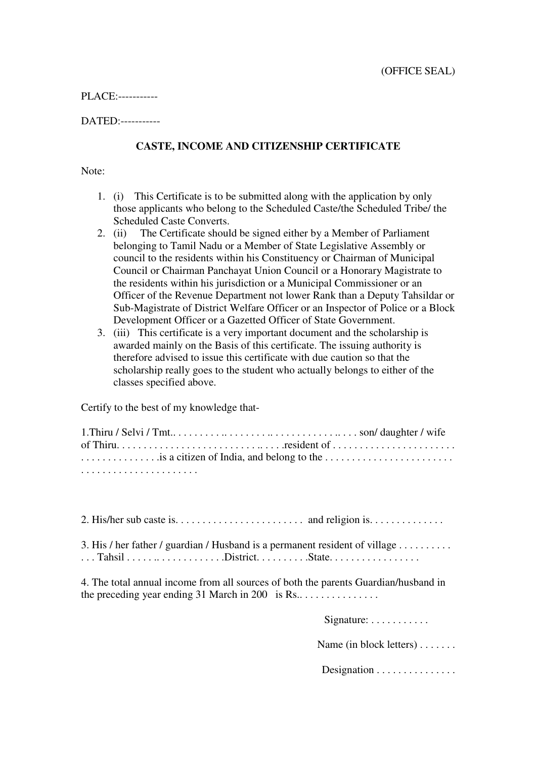PLACE:-----------

DATED:-----------

# **CASTE, INCOME AND CITIZENSHIP CERTIFICATE**

Note:

- 1. (i) This Certificate is to be submitted along with the application by only those applicants who belong to the Scheduled Caste/the Scheduled Tribe/ the Scheduled Caste Converts.
- 2. (ii) The Certificate should be signed either by a Member of Parliament belonging to Tamil Nadu or a Member of State Legislative Assembly or council to the residents within his Constituency or Chairman of Municipal Council or Chairman Panchayat Union Council or a Honorary Magistrate to the residents within his jurisdiction or a Municipal Commissioner or an Officer of the Revenue Department not lower Rank than a Deputy Tahsildar or Sub-Magistrate of District Welfare Officer or an Inspector of Police or a Block Development Officer or a Gazetted Officer of State Government.
- 3. (iii) This certificate is a very important document and the scholarship is awarded mainly on the Basis of this certificate. The issuing authority is therefore advised to issue this certificate with due caution so that the scholarship really goes to the student who actually belongs to either of the classes specified above.

Certify to the best of my knowledge that-

| is a citizen of India, and belong to the |  |
|------------------------------------------|--|
|                                          |  |

| 3. His / her father / guardian / Husband is a permanent resident of village |  |
|-----------------------------------------------------------------------------|--|

4. The total annual income from all sources of both the parents Guardian/husband in the preceding year ending 31 March in 200 is Rs.. . . . . . . . . . . . . . .

Signature: . . . . . . . . . . . .

Name (in block letters) . . . . . . .

Designation . . . . . . . . . . . . . . . .